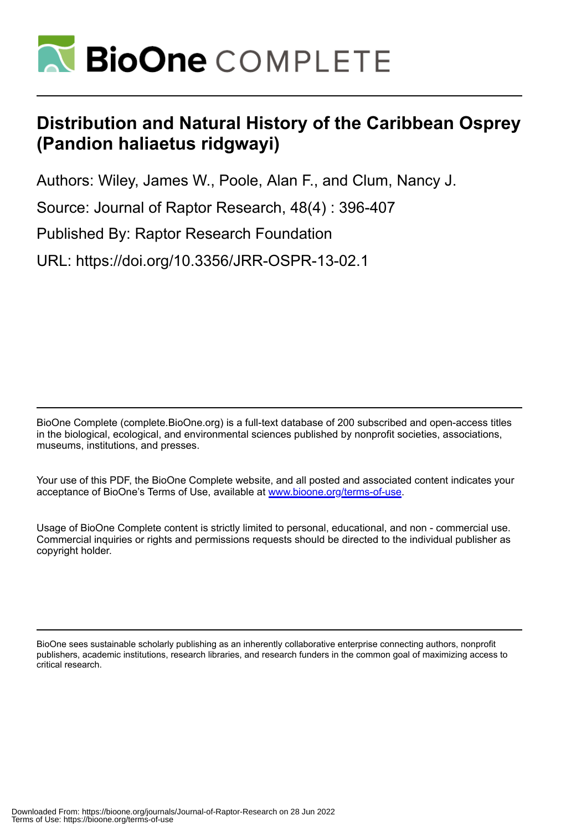

# **Distribution and Natural History of the Caribbean Osprey (Pandion haliaetus ridgwayi)**

Authors: Wiley, James W., Poole, Alan F., and Clum, Nancy J.

Source: Journal of Raptor Research, 48(4) : 396-407

Published By: Raptor Research Foundation

URL: https://doi.org/10.3356/JRR-OSPR-13-02.1

BioOne Complete (complete.BioOne.org) is a full-text database of 200 subscribed and open-access titles in the biological, ecological, and environmental sciences published by nonprofit societies, associations, museums, institutions, and presses.

Your use of this PDF, the BioOne Complete website, and all posted and associated content indicates your acceptance of BioOne's Terms of Use, available at www.bioone.org/terms-of-use.

Usage of BioOne Complete content is strictly limited to personal, educational, and non - commercial use. Commercial inquiries or rights and permissions requests should be directed to the individual publisher as copyright holder.

BioOne sees sustainable scholarly publishing as an inherently collaborative enterprise connecting authors, nonprofit publishers, academic institutions, research libraries, and research funders in the common goal of maximizing access to critical research.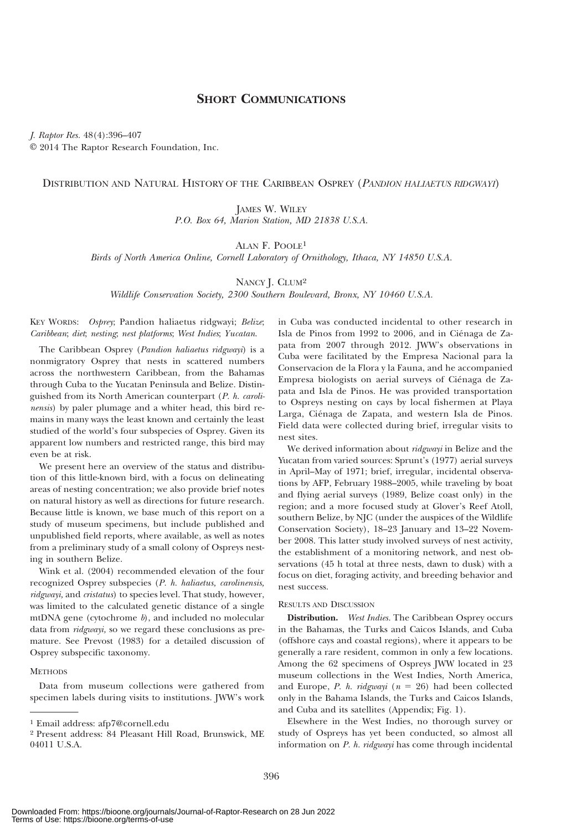# SHORT COMMUNICATIONS

J. Raptor Res. 48(4):396–407 E 2014 The Raptor Research Foundation, Inc.

# DISTRIBUTION AND NATURAL HISTORY OF THE CARIBBEAN OSPREY (PANDION HALIAETUS RIDGWAYI)

JAMES W. WILEY P.O. Box 64, Marion Station, MD 21838 U.S.A.

ALAN F. POOLE1

Birds of North America Online, Cornell Laboratory of Ornithology, Ithaca, NY 14850 U.S.A.

NANCY J. CLUM<sup>2</sup>

Wildlife Conservation Society, 2300 Southern Boulevard, Bronx, NY 10460 U.S.A.

KEY WORDS: Osprey; Pandion haliaetus ridgwayi; Belize; Caribbean; diet; nesting; nest platforms; West Indies; Yucatan.

The Caribbean Osprey (Pandion haliaetus ridgwayi) is a nonmigratory Osprey that nests in scattered numbers across the northwestern Caribbean, from the Bahamas through Cuba to the Yucatan Peninsula and Belize. Distinguished from its North American counterpart (P. h. carolinensis) by paler plumage and a whiter head, this bird remains in many ways the least known and certainly the least studied of the world's four subspecies of Osprey. Given its apparent low numbers and restricted range, this bird may even be at risk.

We present here an overview of the status and distribution of this little-known bird, with a focus on delineating areas of nesting concentration; we also provide brief notes on natural history as well as directions for future research. Because little is known, we base much of this report on a study of museum specimens, but include published and unpublished field reports, where available, as well as notes from a preliminary study of a small colony of Ospreys nesting in southern Belize.

Wink et al. (2004) recommended elevation of the four recognized Osprey subspecies (P. h. haliaetus, carolinensis, ridgwayi, and cristatus) to species level. That study, however, was limited to the calculated genetic distance of a single mtDNA gene (cytochrome  $b$ ), and included no molecular data from *ridgwayi*, so we regard these conclusions as premature. See Prevost (1983) for a detailed discussion of Osprey subspecific taxonomy.

### **METHODS**

Data from museum collections were gathered from specimen labels during visits to institutions. JWW's work in Cuba was conducted incidental to other research in Isla de Pinos from 1992 to 2006, and in Ciénaga de Zapata from 2007 through 2012. JWW's observations in Cuba were facilitated by the Empresa Nacional para la Conservacion de la Flora y la Fauna, and he accompanied Empresa biologists on aerial surveys of Ciénaga de Zapata and Isla de Pinos. He was provided transportation to Ospreys nesting on cays by local fishermen at Playa Larga, Ciénaga de Zapata, and western Isla de Pinos. Field data were collected during brief, irregular visits to nest sites.

We derived information about *ridgwayi* in Belize and the Yucatan from varied sources: Sprunt's (1977) aerial surveys in April–May of 1971; brief, irregular, incidental observations by AFP, February 1988–2005, while traveling by boat and flying aerial surveys (1989, Belize coast only) in the region; and a more focused study at Glover's Reef Atoll, southern Belize, by NJC (under the auspices of the Wildlife Conservation Society), 18–23 January and 13–22 November 2008. This latter study involved surveys of nest activity, the establishment of a monitoring network, and nest observations (45 h total at three nests, dawn to dusk) with a focus on diet, foraging activity, and breeding behavior and nest success.

### RESULTS AND DISCUSSION

Distribution. West Indies. The Caribbean Osprey occurs in the Bahamas, the Turks and Caicos Islands, and Cuba (offshore cays and coastal regions), where it appears to be generally a rare resident, common in only a few locations. Among the 62 specimens of Ospreys JWW located in 23 museum collections in the West Indies, North America, and Europe, *P. h. ridgwayi* ( $n = 26$ ) had been collected only in the Bahama Islands, the Turks and Caicos Islands, and Cuba and its satellites (Appendix; Fig. 1).

Elsewhere in the West Indies, no thorough survey or study of Ospreys has yet been conducted, so almost all information on P. h. ridgwayi has come through incidental

<sup>1</sup> Email address: afp7@cornell.edu

<sup>2</sup> Present address: 84 Pleasant Hill Road, Brunswick, ME 04011 U.S.A.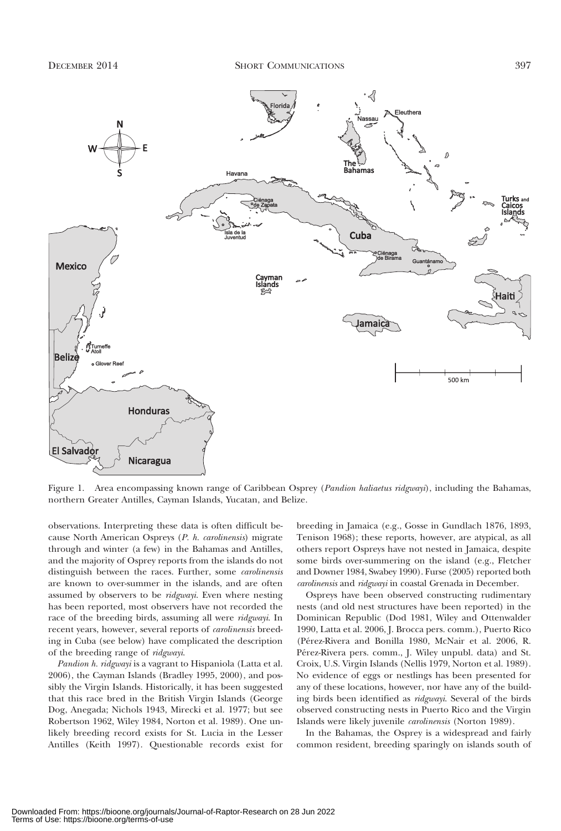

Figure 1. Area encompassing known range of Caribbean Osprey (Pandion haliaetus ridgwayi), including the Bahamas, northern Greater Antilles, Cayman Islands, Yucatan, and Belize.

observations. Interpreting these data is often difficult because North American Ospreys (P. h. carolinensis) migrate through and winter (a few) in the Bahamas and Antilles, and the majority of Osprey reports from the islands do not distinguish between the races. Further, some carolinensis are known to over-summer in the islands, and are often assumed by observers to be *ridgwayi*. Even where nesting has been reported, most observers have not recorded the race of the breeding birds, assuming all were *ridgwayi*. In recent years, however, several reports of *carolinensis* breeding in Cuba (see below) have complicated the description of the breeding range of ridgwayi.

Pandion h. ridgwayi is a vagrant to Hispaniola (Latta et al. 2006), the Cayman Islands (Bradley 1995, 2000), and possibly the Virgin Islands. Historically, it has been suggested that this race bred in the British Virgin Islands (George Dog, Anegada; Nichols 1943, Mirecki et al. 1977; but see Robertson 1962, Wiley 1984, Norton et al. 1989). One unlikely breeding record exists for St. Lucia in the Lesser Antilles (Keith 1997). Questionable records exist for

breeding in Jamaica (e.g., Gosse in Gundlach 1876, 1893, Tenison 1968); these reports, however, are atypical, as all others report Ospreys have not nested in Jamaica, despite some birds over-summering on the island (e.g., Fletcher and Downer 1984, Swabey 1990). Furse (2005) reported both carolinensis and ridgwayi in coastal Grenada in December.

Ospreys have been observed constructing rudimentary nests (and old nest structures have been reported) in the Dominican Republic (Dod 1981, Wiley and Ottenwalder 1990, Latta et al. 2006, J. Brocca pers. comm.), Puerto Rico (Pérez-Rivera and Bonilla 1980, McNair et al. 2006, R. Pérez-Rivera pers. comm., J. Wiley unpubl. data) and St. Croix, U.S. Virgin Islands (Nellis 1979, Norton et al. 1989). No evidence of eggs or nestlings has been presented for any of these locations, however, nor have any of the building birds been identified as ridgwayi. Several of the birds observed constructing nests in Puerto Rico and the Virgin Islands were likely juvenile carolinensis (Norton 1989).

In the Bahamas, the Osprey is a widespread and fairly common resident, breeding sparingly on islands south of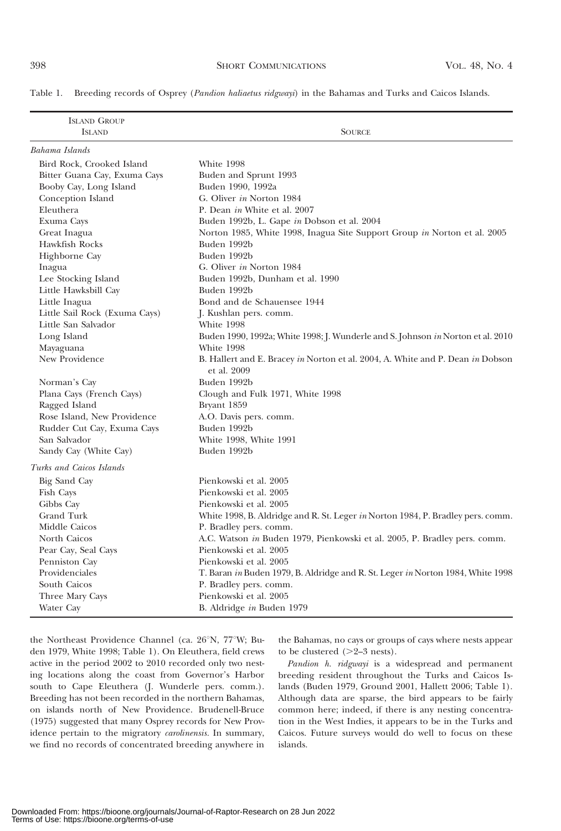|  | Table 1. Breeding records of Osprey (Pandion haliaetus ridgwayi) in the Bahamas and Turks and Caicos Islands. |  |  |  |  |  |  |  |
|--|---------------------------------------------------------------------------------------------------------------|--|--|--|--|--|--|--|
|--|---------------------------------------------------------------------------------------------------------------|--|--|--|--|--|--|--|

| <b>ISLAND GROUP</b><br><b>ISLAND</b> | <b>SOURCE</b>                                                                                 |  |  |  |  |
|--------------------------------------|-----------------------------------------------------------------------------------------------|--|--|--|--|
| Bahama Islands                       |                                                                                               |  |  |  |  |
| Bird Rock, Crooked Island            | White 1998                                                                                    |  |  |  |  |
| Bitter Guana Cay, Exuma Cays         | Buden and Sprunt 1993                                                                         |  |  |  |  |
| Booby Cay, Long Island               | Buden 1990, 1992a                                                                             |  |  |  |  |
| Conception Island                    | G. Oliver in Norton 1984                                                                      |  |  |  |  |
| Eleuthera                            | P. Dean in White et al. 2007                                                                  |  |  |  |  |
| Exuma Cays                           | Buden 1992b, L. Gape in Dobson et al. 2004                                                    |  |  |  |  |
| Great Inagua                         | Norton 1985, White 1998, Inagua Site Support Group in Norton et al. 2005                      |  |  |  |  |
| Hawkfish Rocks                       | Buden 1992b                                                                                   |  |  |  |  |
| Highborne Cay                        | Buden 1992b                                                                                   |  |  |  |  |
| Inagua                               | G. Oliver in Norton 1984                                                                      |  |  |  |  |
| Lee Stocking Island                  | Buden 1992b, Dunham et al. 1990                                                               |  |  |  |  |
| Little Hawksbill Cay                 | Buden 1992b                                                                                   |  |  |  |  |
| Little Inagua                        | Bond and de Schauensee 1944                                                                   |  |  |  |  |
| Little Sail Rock (Exuma Cays)        | J. Kushlan pers. comm.                                                                        |  |  |  |  |
| Little San Salvador                  | White 1998                                                                                    |  |  |  |  |
| Long Island                          | Buden 1990, 1992a; White 1998; J. Wunderle and S. Johnson in Norton et al. 2010               |  |  |  |  |
| Mayaguana                            | White 1998                                                                                    |  |  |  |  |
| New Providence                       | B. Hallert and E. Bracey in Norton et al. 2004, A. White and P. Dean in Dobson<br>et al. 2009 |  |  |  |  |
| Norman's Cay                         | Buden 1992b                                                                                   |  |  |  |  |
| Plana Cays (French Cays)             | Clough and Fulk 1971, White 1998                                                              |  |  |  |  |
| Ragged Island                        | Bryant 1859                                                                                   |  |  |  |  |
| Rose Island, New Providence          | A.O. Davis pers. comm.                                                                        |  |  |  |  |
| Rudder Cut Cay, Exuma Cays           | Buden 1992b                                                                                   |  |  |  |  |
| San Salvador                         | White 1998, White 1991                                                                        |  |  |  |  |
| Sandy Cay (White Cay)                | Buden 1992b                                                                                   |  |  |  |  |
| Turks and Caicos Islands             |                                                                                               |  |  |  |  |
| Big Sand Cay                         | Pienkowski et al. 2005                                                                        |  |  |  |  |
| Fish Cays                            | Pienkowski et al. 2005                                                                        |  |  |  |  |
| Gibbs Cay                            | Pienkowski et al. 2005                                                                        |  |  |  |  |
| Grand Turk                           | White 1998, B. Aldridge and R. St. Leger in Norton 1984, P. Bradley pers. comm.               |  |  |  |  |
| Middle Caicos                        | P. Bradley pers. comm.                                                                        |  |  |  |  |
| North Caicos                         | A.C. Watson in Buden 1979, Pienkowski et al. 2005, P. Bradley pers. comm.                     |  |  |  |  |
| Pear Cay, Seal Cays                  | Pienkowski et al. 2005                                                                        |  |  |  |  |
| Penniston Cay                        | Pienkowski et al. 2005                                                                        |  |  |  |  |
| Providenciales                       | T. Baran in Buden 1979, B. Aldridge and R. St. Leger in Norton 1984, White 1998               |  |  |  |  |
| South Caicos                         | P. Bradley pers. comm.                                                                        |  |  |  |  |
| Three Mary Cays                      | Pienkowski et al. 2005                                                                        |  |  |  |  |
| Water Cay                            | B. Aldridge in Buden 1979                                                                     |  |  |  |  |

the Northeast Providence Channel (ca. 26°N, 77°W; Buden 1979, White 1998; Table 1). On Eleuthera, field crews active in the period 2002 to 2010 recorded only two nesting locations along the coast from Governor's Harbor south to Cape Eleuthera (J. Wunderle pers. comm.). Breeding has not been recorded in the northern Bahamas, on islands north of New Providence. Brudenell-Bruce (1975) suggested that many Osprey records for New Providence pertain to the migratory carolinensis. In summary, we find no records of concentrated breeding anywhere in

the Bahamas, no cays or groups of cays where nests appear to be clustered  $(>=2-3$  nests).

Pandion h. ridgwayi is a widespread and permanent breeding resident throughout the Turks and Caicos Islands (Buden 1979, Ground 2001, Hallett 2006; Table 1). Although data are sparse, the bird appears to be fairly common here; indeed, if there is any nesting concentration in the West Indies, it appears to be in the Turks and Caicos. Future surveys would do well to focus on these islands.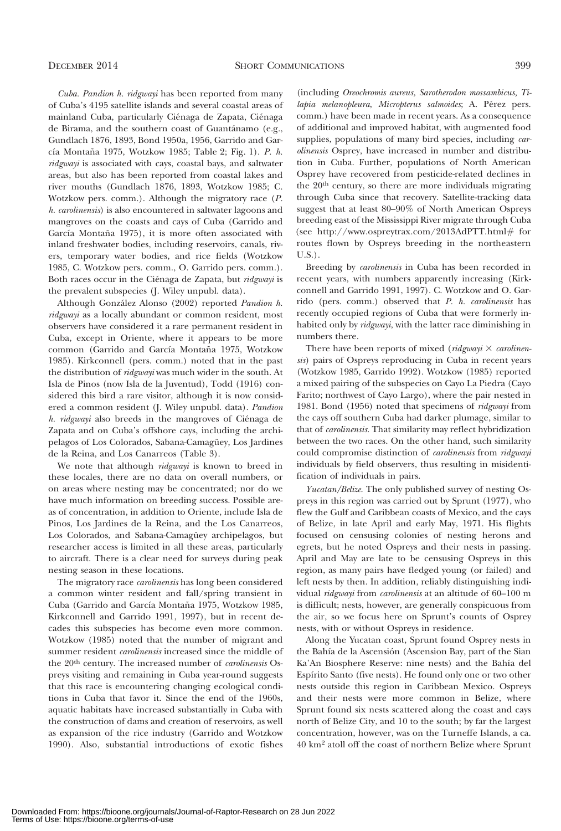Cuba. Pandion h. ridgwayi has been reported from many of Cuba's 4195 satellite islands and several coastal areas of mainland Cuba, particularly Ciénaga de Zapata, Ciénaga de Birama, and the southern coast of Guantánamo (e.g., Gundlach 1876, 1893, Bond 1950a, 1956, Garrido and García Montaña 1975, Wotzkow 1985; Table 2; Fig. 1). P. h. ridgwayi is associated with cays, coastal bays, and saltwater areas, but also has been reported from coastal lakes and river mouths (Gundlach 1876, 1893, Wotzkow 1985; C. Wotzkow pers. comm.). Although the migratory race (P. h. carolinensis) is also encountered in saltwater lagoons and mangroves on the coasts and cays of Cuba (Garrido and García Montaña 1975), it is more often associated with inland freshwater bodies, including reservoirs, canals, rivers, temporary water bodies, and rice fields (Wotzkow 1985, C. Wotzkow pers. comm., O. Garrido pers. comm.). Both races occur in the Ciénaga de Zapata, but ridgwayi is the prevalent subspecies (J. Wiley unpubl. data).

Although González Alonso (2002) reported Pandion h. ridgwayi as a locally abundant or common resident, most observers have considered it a rare permanent resident in Cuba, except in Oriente, where it appears to be more common (Garrido and García Montaña 1975, Wotzkow 1985). Kirkconnell (pers. comm.) noted that in the past the distribution of ridgwayi was much wider in the south. At Isla de Pinos (now Isla de la Juventud), Todd (1916) considered this bird a rare visitor, although it is now considered a common resident (J. Wiley unpubl. data). Pandion  $h.$  ridgwayi also breeds in the mangroves of Ciénaga de Zapata and on Cuba's offshore cays, including the archipelagos of Los Colorados, Sabana-Camagüey, Los Jardines de la Reina, and Los Canarreos (Table 3).

We note that although *ridgwayi* is known to breed in these locales, there are no data on overall numbers, or on areas where nesting may be concentrated; nor do we have much information on breeding success. Possible areas of concentration, in addition to Oriente, include Isla de Pinos, Los Jardines de la Reina, and the Los Canarreos, Los Colorados, and Sabana-Camagüey archipelagos, but researcher access is limited in all these areas, particularly to aircraft. There is a clear need for surveys during peak nesting season in these locations.

The migratory race *carolinensis* has long been considered a common winter resident and fall/spring transient in Cuba (Garrido and García Montaña 1975, Wotzkow 1985, Kirkconnell and Garrido 1991, 1997), but in recent decades this subspecies has become even more common. Wotzkow (1985) noted that the number of migrant and summer resident *carolinensis* increased since the middle of the 20<sup>th</sup> century. The increased number of *carolinensis* Ospreys visiting and remaining in Cuba year-round suggests that this race is encountering changing ecological conditions in Cuba that favor it. Since the end of the 1960s, aquatic habitats have increased substantially in Cuba with the construction of dams and creation of reservoirs, as well as expansion of the rice industry (Garrido and Wotzkow 1990). Also, substantial introductions of exotic fishes

(including Oreochromis aureus, Sarotherodon mossambicus, Tilapia melanopleura, Micropterus salmoides; A. Pérez pers. comm.) have been made in recent years. As a consequence of additional and improved habitat, with augmented food supplies, populations of many bird species, including carolinensis Osprey, have increased in number and distribution in Cuba. Further, populations of North American Osprey have recovered from pesticide-related declines in the 20th century, so there are more individuals migrating through Cuba since that recovery. Satellite-tracking data suggest that at least 80–90% of North American Ospreys breeding east of the Mississippi River migrate through Cuba (see http://www.ospreytrax.com/2013AdPTT.html# for routes flown by Ospreys breeding in the northeastern U.S.).

Breeding by carolinensis in Cuba has been recorded in recent years, with numbers apparently increasing (Kirkconnell and Garrido 1991, 1997). C. Wotzkow and O. Garrido (pers. comm.) observed that P. h. carolinensis has recently occupied regions of Cuba that were formerly inhabited only by ridgwayi, with the latter race diminishing in numbers there.

There have been reports of mixed (ridgwayi  $\times$  carolinensis) pairs of Ospreys reproducing in Cuba in recent years (Wotzkow 1985, Garrido 1992). Wotzkow (1985) reported a mixed pairing of the subspecies on Cayo La Piedra (Cayo Farito; northwest of Cayo Largo), where the pair nested in 1981. Bond (1956) noted that specimens of ridgwayi from the cays off southern Cuba had darker plumage, similar to that of carolinensis. That similarity may reflect hybridization between the two races. On the other hand, such similarity could compromise distinction of carolinensis from ridgwayi individuals by field observers, thus resulting in misidentification of individuals in pairs.

Yucatan/Belize. The only published survey of nesting Ospreys in this region was carried out by Sprunt (1977), who flew the Gulf and Caribbean coasts of Mexico, and the cays of Belize, in late April and early May, 1971. His flights focused on censusing colonies of nesting herons and egrets, but he noted Ospreys and their nests in passing. April and May are late to be censusing Ospreys in this region, as many pairs have fledged young (or failed) and left nests by then. In addition, reliably distinguishing individual ridgwayi from carolinensis at an altitude of 60-100 m is difficult; nests, however, are generally conspicuous from the air, so we focus here on Sprunt's counts of Osprey nests, with or without Ospreys in residence.

Along the Yucatan coast, Sprunt found Osprey nests in the Bahía de la Ascensión (Ascension Bay, part of the Sian Ka'An Biosphere Reserve: nine nests) and the Bahía del Espírito Santo (five nests). He found only one or two other nests outside this region in Caribbean Mexico. Ospreys and their nests were more common in Belize, where Sprunt found six nests scattered along the coast and cays north of Belize City, and 10 to the south; by far the largest concentration, however, was on the Turneffe Islands, a ca. 40 km2 atoll off the coast of northern Belize where Sprunt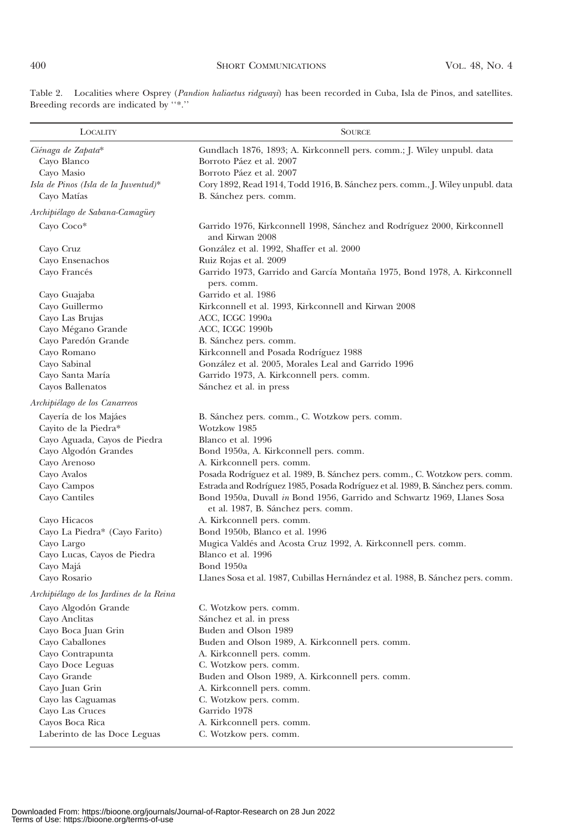| <b>LOCALITY</b>                          | <b>SOURCE</b>                                                                                                  |
|------------------------------------------|----------------------------------------------------------------------------------------------------------------|
| Ciénaga de Zapata*                       | Gundlach 1876, 1893; A. Kirkconnell pers. comm.; J. Wiley unpubl. data                                         |
| Cayo Blanco                              | Borroto Páez et al. 2007                                                                                       |
| Cayo Masio                               | Borroto Páez et al. 2007                                                                                       |
| Isla de Pinos (Isla de la Juventud)*     | Cory 1892, Read 1914, Todd 1916, B. Sánchez pers. comm., J. Wiley unpubl. data                                 |
| Cayo Matías                              | B. Sánchez pers. comm.                                                                                         |
| Archipiélago de Sabana-Camagüey          |                                                                                                                |
| Cayo Coco*                               | Garrido 1976, Kirkconnell 1998, Sánchez and Rodríguez 2000, Kirkconnell<br>and Kirwan 2008                     |
| Cayo Cruz                                | González et al. 1992, Shaffer et al. 2000                                                                      |
| Cayo Ensenachos                          | Ruiz Rojas et al. 2009                                                                                         |
| Cayo Francés                             | Garrido 1973, Garrido and García Montaña 1975, Bond 1978, A. Kirkconnell<br>pers. comm.                        |
| Cayo Guajaba                             | Garrido et al. 1986                                                                                            |
| Cayo Guillermo                           | Kirkconnell et al. 1993, Kirkconnell and Kirwan 2008                                                           |
| Cayo Las Brujas                          | ACC, ICGC 1990a                                                                                                |
| Cayo Mégano Grande                       | ACC, ICGC 1990b                                                                                                |
| Cayo Paredón Grande                      | B. Sánchez pers. comm.                                                                                         |
| Cayo Romano                              | Kirkconnell and Posada Rodríguez 1988                                                                          |
| Cayo Sabinal                             | González et al. 2005, Morales Leal and Garrido 1996                                                            |
| Cayo Santa María                         | Garrido 1973, A. Kirkconnell pers. comm.                                                                       |
| Cayos Ballenatos                         | Sánchez et al. in press                                                                                        |
| Archipiélago de los Canarreos            |                                                                                                                |
| Cayería de los Majáes                    | B. Sánchez pers. comm., C. Wotzkow pers. comm.                                                                 |
| Cayito de la Piedra*                     | Wotzkow 1985                                                                                                   |
| Cayo Aguada, Cayos de Piedra             | Blanco et al. 1996                                                                                             |
| Cayo Algodón Grandes                     | Bond 1950a, A. Kirkconnell pers. comm.                                                                         |
| Cayo Arenoso                             | A. Kirkconnell pers. comm.                                                                                     |
| Cayo Avalos                              | Posada Rodríguez et al. 1989, B. Sánchez pers. comm., C. Wotzkow pers. comm.                                   |
| Cayo Campos                              | Estrada and Rodríguez 1985, Posada Rodríguez et al. 1989, B. Sánchez pers. comm.                               |
| Cayo Cantiles                            | Bond 1950a, Duvall in Bond 1956, Garrido and Schwartz 1969, Llanes Sosa<br>et al. 1987, B. Sánchez pers. comm. |
| Cayo Hicacos                             | A. Kirkconnell pers. comm.                                                                                     |
| Cayo La Piedra* (Cayo Farito)            | Bond 1950b, Blanco et al. 1996                                                                                 |
| Cayo Largo                               | Mugica Valdés and Acosta Cruz 1992, A. Kirkconnell pers. comm.                                                 |
| Cayo Lucas, Cayos de Piedra              | Blanco et al. 1996                                                                                             |
| Cayo Majá                                | Bond 1950a                                                                                                     |
| Cayo Rosario                             | Llanes Sosa et al. 1987, Cubillas Hernández et al. 1988, B. Sánchez pers. comm.                                |
| Archipiélago de los Jardines de la Reina |                                                                                                                |
| Cayo Algodón Grande                      | C. Wotzkow pers. comm.                                                                                         |
| Cayo Anclitas                            | Sánchez et al. in press                                                                                        |
| Cayo Boca Juan Grin                      | Buden and Olson 1989                                                                                           |
| Cayo Caballones                          | Buden and Olson 1989, A. Kirkconnell pers. comm.                                                               |
| Cayo Contrapunta                         | A. Kirkconnell pers. comm.                                                                                     |
| Cayo Doce Leguas                         | C. Wotzkow pers. comm.                                                                                         |
| Cayo Grande                              | Buden and Olson 1989, A. Kirkconnell pers. comm.                                                               |
| Cayo Juan Grin                           | A. Kirkconnell pers. comm.                                                                                     |
| Cayo las Caguamas                        | C. Wotzkow pers. comm.                                                                                         |
| Cayo Las Cruces                          | Garrido 1978                                                                                                   |
| Cayos Boca Rica                          | A. Kirkconnell pers. comm.                                                                                     |
| Laberinto de las Doce Leguas             | C. Wotzkow pers. comm.                                                                                         |

Table 2. Localities where Osprey (Pandion haliaetus ridgwayi) has been recorded in Cuba, Isla de Pinos, and satellites. Breeding records are indicated by ''\*.''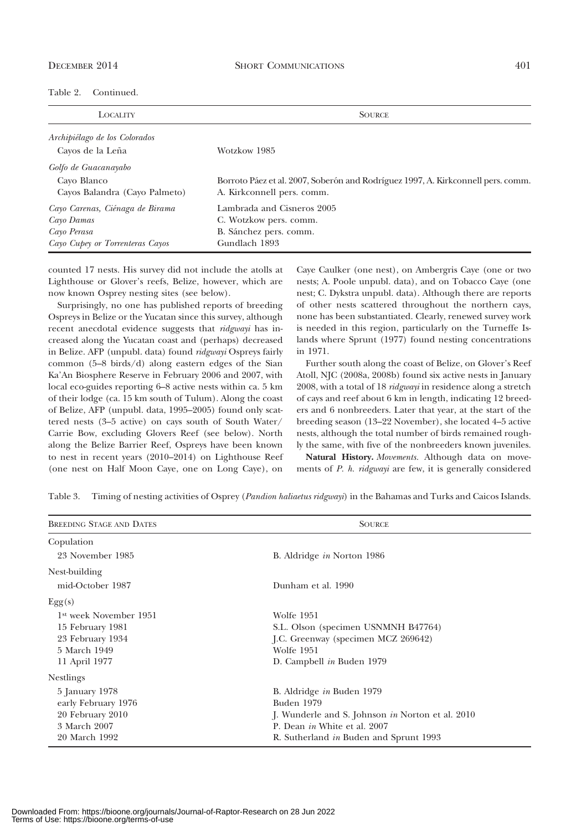| Table 2.<br>Continued. |
|------------------------|
|------------------------|

| <b>LOCALITY</b>                 | <b>SOURCE</b>                                                                    |  |  |  |
|---------------------------------|----------------------------------------------------------------------------------|--|--|--|
| Archipiélago de los Colorados   |                                                                                  |  |  |  |
| Cayos de la Leña                | Wotzkow 1985                                                                     |  |  |  |
| Golfo de Guacanayabo            |                                                                                  |  |  |  |
| Cavo Blanco                     | Borroto Páez et al. 2007, Soberón and Rodríguez 1997, A. Kirkconnell pers. comm. |  |  |  |
| Cayos Balandra (Cayo Palmeto)   | A. Kirkconnell pers. comm.                                                       |  |  |  |
| Cayo Carenas, Ciénaga de Birama | Lambrada and Cisneros 2005                                                       |  |  |  |
| Cayo Damas                      | C. Wotzkow pers. comm.                                                           |  |  |  |
| Cayo Perasa                     | B. Sánchez pers. comm.                                                           |  |  |  |
| Cayo Cupey or Torrenteras Cayos | Gundlach 1893                                                                    |  |  |  |

counted 17 nests. His survey did not include the atolls at Lighthouse or Glover's reefs, Belize, however, which are now known Osprey nesting sites (see below).

Surprisingly, no one has published reports of breeding Ospreys in Belize or the Yucatan since this survey, although recent anecdotal evidence suggests that *ridgwayi* has increased along the Yucatan coast and (perhaps) decreased in Belize. AFP (unpubl. data) found ridgwayi Ospreys fairly common (5–8 birds/d) along eastern edges of the Sian Ka'An Biosphere Reserve in February 2006 and 2007, with local eco-guides reporting 6–8 active nests within ca. 5 km of their lodge (ca. 15 km south of Tulum). Along the coast of Belize, AFP (unpubl. data, 1995–2005) found only scattered nests (3–5 active) on cays south of South Water/ Carrie Bow, excluding Glovers Reef (see below). North along the Belize Barrier Reef, Ospreys have been known to nest in recent years (2010–2014) on Lighthouse Reef (one nest on Half Moon Caye, one on Long Caye), on Caye Caulker (one nest), on Ambergris Caye (one or two nests; A. Poole unpubl. data), and on Tobacco Caye (one nest; C. Dykstra unpubl. data). Although there are reports of other nests scattered throughout the northern cays, none has been substantiated. Clearly, renewed survey work is needed in this region, particularly on the Turneffe Islands where Sprunt (1977) found nesting concentrations in 1971.

Further south along the coast of Belize, on Glover's Reef Atoll, NJC (2008a, 2008b) found six active nests in January 2008, with a total of 18 *ridgwayi* in residence along a stretch of cays and reef about 6 km in length, indicating 12 breeders and 6 nonbreeders. Later that year, at the start of the breeding season (13–22 November), she located 4–5 active nests, although the total number of birds remained roughly the same, with five of the nonbreeders known juveniles.

Natural History. Movements. Although data on movements of P. h. ridgwayi are few, it is generally considered

| <b>BREEDING STAGE AND DATES</b>    | <b>SOURCE</b>                                    |  |  |  |  |
|------------------------------------|--------------------------------------------------|--|--|--|--|
| Copulation                         |                                                  |  |  |  |  |
| 23 November 1985                   | B. Aldridge <i>in</i> Norton 1986                |  |  |  |  |
| Nest-building                      |                                                  |  |  |  |  |
| mid-October 1987                   | Dunham et al. 1990                               |  |  |  |  |
| Egg(s)                             |                                                  |  |  |  |  |
| 1 <sup>st</sup> week November 1951 | Wolfe 1951                                       |  |  |  |  |
| 15 February 1981                   | S.L. Olson (specimen USNMNH B47764)              |  |  |  |  |
| 23 February 1934                   | J.C. Greenway (specimen MCZ 269642)              |  |  |  |  |
| 5 March 1949                       | Wolfe 1951                                       |  |  |  |  |
| 11 April 1977                      | D. Campbell in Buden 1979                        |  |  |  |  |
| <b>Nestlings</b>                   |                                                  |  |  |  |  |
| 5 January 1978                     | B. Aldridge in Buden 1979                        |  |  |  |  |
| early February 1976                | Buden 1979                                       |  |  |  |  |
| 20 February 2010                   | J. Wunderle and S. Johnson in Norton et al. 2010 |  |  |  |  |
| 3 March 2007                       | P. Dean in White et al. 2007                     |  |  |  |  |
| 20 March 1992                      | R. Sutherland in Buden and Sprunt 1993           |  |  |  |  |

Table 3. Timing of nesting activities of Osprey (Pandion haliaetus ridgwayi) in the Bahamas and Turks and Caicos Islands.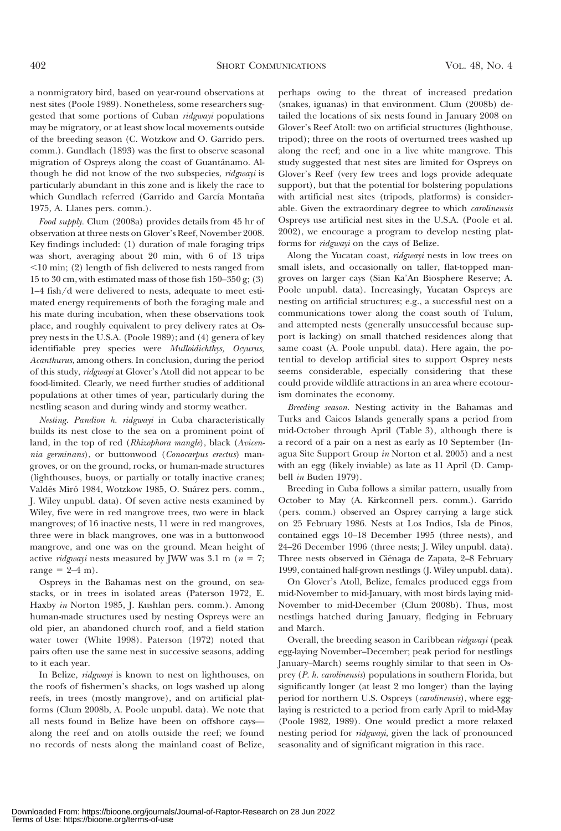a nonmigratory bird, based on year-round observations at nest sites (Poole 1989). Nonetheless, some researchers suggested that some portions of Cuban *ridgwayi* populations may be migratory, or at least show local movements outside of the breeding season (C. Wotzkow and O. Garrido pers. comm.). Gundlach (1893) was the first to observe seasonal migration of Ospreys along the coast of Guantánamo. Although he did not know of the two subspecies, ridgwayi is particularly abundant in this zone and is likely the race to which Gundlach referred (Garrido and García Montaña 1975, A. Llanes pers. comm.).

Food supply. Clum (2008a) provides details from 45 hr of observation at three nests on Glover's Reef, November 2008. Key findings included: (1) duration of male foraging trips was short, averaging about 20 min, with 6 of 13 trips  $<$ 10 min; (2) length of fish delivered to nests ranged from 15 to 30 cm, with estimated mass of those fish 150–350 g; (3) 1–4 fish/d were delivered to nests, adequate to meet estimated energy requirements of both the foraging male and his mate during incubation, when these observations took place, and roughly equivalent to prey delivery rates at Osprey nests in the U.S.A. (Poole 1989); and (4) genera of key identifiable prey species were Mulloidichthys, Ocyurus, Acanthurus, among others. In conclusion, during the period of this study, ridgwayi at Glover's Atoll did not appear to be food-limited. Clearly, we need further studies of additional populations at other times of year, particularly during the nestling season and during windy and stormy weather.

Nesting. Pandion h. ridgwayi in Cuba characteristically builds its nest close to the sea on a prominent point of land, in the top of red (Rhizophora mangle), black (Avicennia germinans), or buttonwood (Conocarpus erectus) mangroves, or on the ground, rocks, or human-made structures (lighthouses, buoys, or partially or totally inactive cranes; Valdés Miró 1984, Wotzkow 1985, O. Suárez pers. comm., J. Wiley unpubl. data). Of seven active nests examined by Wiley, five were in red mangrove trees, two were in black mangroves; of 16 inactive nests, 11 were in red mangroves, three were in black mangroves, one was in a buttonwood mangrove, and one was on the ground. Mean height of active *ridgwayi* nests measured by JWW was 3.1 m ( $n = 7$ ; range  $= 2-4$  m).

Ospreys in the Bahamas nest on the ground, on seastacks, or in trees in isolated areas (Paterson 1972, E. Haxby in Norton 1985, J. Kushlan pers. comm.). Among human-made structures used by nesting Ospreys were an old pier, an abandoned church roof, and a field station water tower (White 1998). Paterson (1972) noted that pairs often use the same nest in successive seasons, adding to it each year.

In Belize, ridgwayi is known to nest on lighthouses, on the roofs of fishermen's shacks, on logs washed up along reefs, in trees (mostly mangrove), and on artificial platforms (Clum 2008b, A. Poole unpubl. data). We note that all nests found in Belize have been on offshore cays along the reef and on atolls outside the reef; we found no records of nests along the mainland coast of Belize, perhaps owing to the threat of increased predation (snakes, iguanas) in that environment. Clum (2008b) detailed the locations of six nests found in January 2008 on Glover's Reef Atoll: two on artificial structures (lighthouse, tripod); three on the roots of overturned trees washed up along the reef; and one in a live white mangrove. This study suggested that nest sites are limited for Ospreys on Glover's Reef (very few trees and logs provide adequate support), but that the potential for bolstering populations with artificial nest sites (tripods, platforms) is considerable. Given the extraordinary degree to which carolinensis Ospreys use artificial nest sites in the U.S.A. (Poole et al. 2002), we encourage a program to develop nesting platforms for ridgwayi on the cays of Belize.

Along the Yucatan coast, *ridgwayi* nests in low trees on small islets, and occasionally on taller, flat-topped mangroves on larger cays (Sian Ka'An Biosphere Reserve; A. Poole unpubl. data). Increasingly, Yucatan Ospreys are nesting on artificial structures; e.g., a successful nest on a communications tower along the coast south of Tulum, and attempted nests (generally unsuccessful because support is lacking) on small thatched residences along that same coast (A. Poole unpubl. data). Here again, the potential to develop artificial sites to support Osprey nests seems considerable, especially considering that these could provide wildlife attractions in an area where ecotourism dominates the economy.

Breeding season. Nesting activity in the Bahamas and Turks and Caicos Islands generally spans a period from mid-October through April (Table 3), although there is a record of a pair on a nest as early as 10 September (Inagua Site Support Group in Norton et al. 2005) and a nest with an egg (likely inviable) as late as 11 April (D. Campbell in Buden 1979).

Breeding in Cuba follows a similar pattern, usually from October to May (A. Kirkconnell pers. comm.). Garrido (pers. comm.) observed an Osprey carrying a large stick on 25 February 1986. Nests at Los Indios, Isla de Pinos, contained eggs 10–18 December 1995 (three nests), and 24–26 December 1996 (three nests; J. Wiley unpubl. data). Three nests observed in Ciénaga de Zapata, 2–8 February 1999, contained half-grown nestlings (J. Wiley unpubl. data).

On Glover's Atoll, Belize, females produced eggs from mid-November to mid-January, with most birds laying mid-November to mid-December (Clum 2008b). Thus, most nestlings hatched during January, fledging in February and March.

Overall, the breeding season in Caribbean ridgwayi (peak egg-laying November–December; peak period for nestlings January–March) seems roughly similar to that seen in Osprey (P. h. carolinensis) populations in southern Florida, but significantly longer (at least 2 mo longer) than the laying period for northern U.S. Ospreys (carolinensis), where egglaying is restricted to a period from early April to mid-May (Poole 1982, 1989). One would predict a more relaxed nesting period for ridgwayi, given the lack of pronounced seasonality and of significant migration in this race.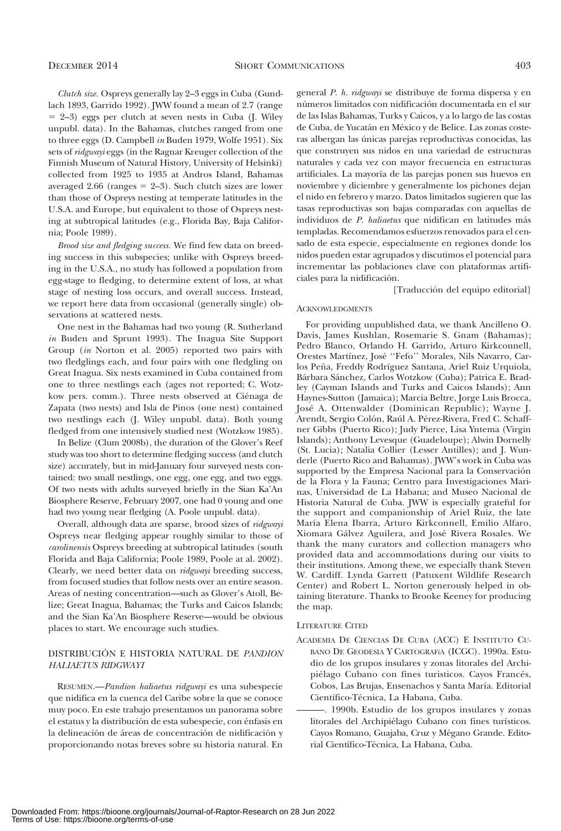Clutch size. Ospreys generally lay 2–3 eggs in Cuba (Gundlach 1893, Garrido 1992). JWW found a mean of 2.7 (range  $= 2-3$ ) eggs per clutch at seven nests in Cuba (J. Wiley unpubl. data). In the Bahamas, clutches ranged from one to three eggs (D. Campbell in Buden 1979, Wolfe 1951). Six sets of *ridgwayi* eggs (in the Ragnar Kreuger collection of the Finnish Museum of Natural History, University of Helsinki) collected from 1925 to 1935 at Andros Island, Bahamas averaged 2.66 (ranges  $= 2-3$ ). Such clutch sizes are lower than those of Ospreys nesting at temperate latitudes in the U.S.A. and Europe, but equivalent to those of Ospreys nesting at subtropical latitudes (e.g., Florida Bay, Baja California; Poole 1989).

Brood size and fledging success. We find few data on breeding success in this subspecies; unlike with Ospreys breeding in the U.S.A., no study has followed a population from egg-stage to fledging, to determine extent of loss, at what stage of nesting loss occurs, and overall success. Instead, we report here data from occasional (generally single) observations at scattered nests.

One nest in the Bahamas had two young (R. Sutherland in Buden and Sprunt 1993). The Inagua Site Support Group (in Norton et al. 2005) reported two pairs with two fledglings each, and four pairs with one fledgling on Great Inagua. Six nests examined in Cuba contained from one to three nestlings each (ages not reported; C. Wotzkow pers. comm.). Three nests observed at Ciénaga de Zapata (two nests) and Isla de Pinos (one nest) contained two nestlings each (J. Wiley unpubl. data). Both young fledged from one intensively studied nest (Wotzkow 1985).

In Belize (Clum 2008b), the duration of the Glover's Reef study was too short to determine fledging success (and clutch size) accurately, but in mid-January four surveyed nests contained: two small nestlings, one egg, one egg, and two eggs. Of two nests with adults surveyed briefly in the Sian Ka'An Biosphere Reserve, February 2007, one had 0 young and one had two young near fledging (A. Poole unpubl. data).

Overall, although data are sparse, brood sizes of ridgwayi Ospreys near fledging appear roughly similar to those of carolinensis Ospreys breeding at subtropical latitudes (south Florida and Baja California; Poole 1989, Poole at al. 2002). Clearly, we need better data on ridgwayi breeding success, from focused studies that follow nests over an entire season. Areas of nesting concentration—such as Glover's Atoll, Belize; Great Inagua, Bahamas; the Turks and Caicos Islands; and the Sian Ka'An Biosphere Reserve—would be obvious places to start. We encourage such studies.

## DISTRIBUCIÓN E HISTORIA NATURAL DE PANDION HALIAETUS RIDGWAYI

RESUMEN.—Pandion haliaetus ridgwayi es una subespecie que nidifica en la cuenca del Caribe sobre la que se conoce muy poco. En este trabajo presentamos un panorama sobre el estatus y la distribución de esta subespecie, con énfasis en la delineación de áreas de concentración de nidificación y proporcionando notas breves sobre su historia natural. En

general P. h. ridgwayi se distribuye de forma dispersa y en números limitados con nidificación documentada en el sur de las Islas Bahamas, Turks y Caicos, y a lo largo de las costas de Cuba, de Yucatán en México y de Belice. Las zonas costeras albergan las únicas parejas reproductivas conocidas, las que construyen sus nidos en una variedad de estructuras naturales y cada vez con mayor frecuencia en estructuras artificiales. La mayoría de las parejas ponen sus huevos en noviembre y diciembre y generalmente los pichones dejan el nido en febrero y marzo. Datos limitados sugieren que las tasas reproductivas son bajas comparadas con aquellas de individuos de P. haliaetus que nidifican en latitudes más templadas. Recomendamos esfuerzos renovados para el censado de esta especie, especialmente en regiones donde los nidos pueden estar agrupados y discutimos el potencial para incrementar las poblaciones clave con plataformas artificiales para la nidificación.

[Traducción del equipo editorial]

#### ACKNOWLEDGMENTS

For providing unpublished data, we thank Ancilleno O. Davis, James Kushlan, Rosemarie S. Gnam (Bahamas); Pedro Blanco, Orlando H. Garrido, Arturo Kirkconnell, Orestes Martínez, José "Fefo" Morales, Nils Navarro, Carlos Peña, Freddy Rodríguez Santana, Ariel Ruiz Urquiola, Bárbara Sánchez, Carlos Wotzkow (Cuba); Patrica E. Bradley (Cayman Islands and Turks and Caicos Islands); Ann Haynes-Sutton (Jamaica); Marcia Beltre, Jorge Luis Brocca, Jose´ A. Ottenwalder (Dominican Republic); Wayne J. Arendt, Sergio Colón, Raúl A. Pérez-Rivera, Fred C. Schaffner Gibbs (Puerto Rico); Judy Pierce, Lisa Yntema (Virgin Islands); Anthony Levesque (Guadeloupe); Alwin Dornelly (St. Lucia); Natalia Collier (Lesser Antilles); and J. Wunderle (Puerto Rico and Bahamas). JWW's work in Cuba was supported by the Empresa Nacional para la Conservación de la Flora y la Fauna; Centro para Investigaciones Marinas, Universidad de La Habana; and Museo Nacional de Historia Natural de Cuba. JWW is especially grateful for the support and companionship of Ariel Ruiz, the late María Elena Ibarra, Arturo Kirkconnell, Emilio Alfaro, Xiomara Gálvez Aguilera, and José Rivera Rosales. We thank the many curators and collection managers who provided data and accommodations during our visits to their institutions. Among these, we especially thank Steven W. Cardiff. Lynda Garrett (Patuxent Wildlife Research Center) and Robert L. Norton generously helped in obtaining literature. Thanks to Brooke Keeney for producing the map.

### LITERATURE CITED

- ACADEMIA DE CIENCIAS DE CUBA (ACC) E INSTITUTO CU-BANO DE GEODESIA Y CARTOGRAFíA (ICGC). 1990a. Estudio de los grupos insulares y zonas litorales del Archipiélago Cubano con fines turisticos. Cayos Francés, Cobos, Las Brujas, Ensenachos y Santa María. Editorial Científico-Técnica, La Habana, Cuba.
- ———. 1990b. Estudio de los grupos insulares y zonas litorales del Archipiélago Cubano con fines turísticos. Cayos Romano, Guajaba, Cruz y Mégano Grande. Editorial Científico-Técnica, La Habana, Cuba.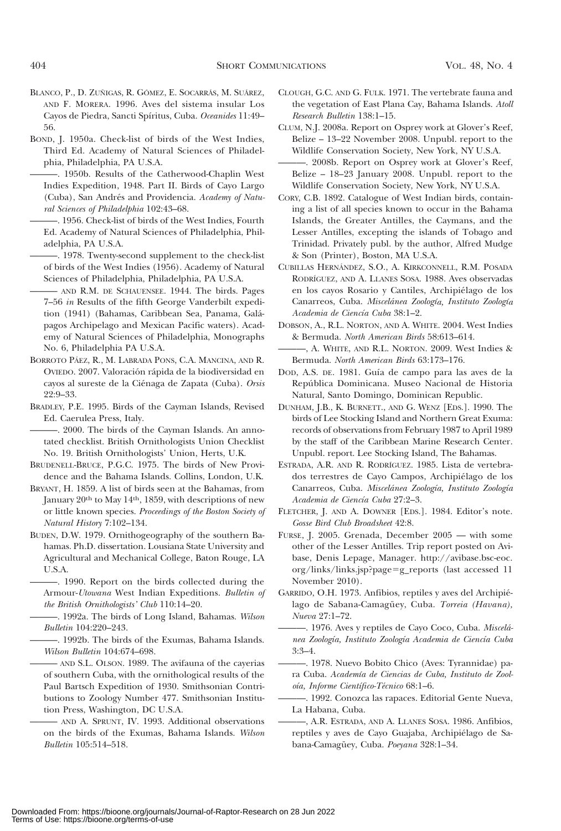- BLANCO, P., D. ZUÑIGAS, R. GÓMEZ, E. SOCARRÁS, M. SUÁREZ, AND F. MORERA. 1996. Aves del sistema insular Los Cayos de Piedra, Sancti Spíritus, Cuba. Oceanides 11:49-56.
- BOND, J. 1950a. Check-list of birds of the West Indies, Third Ed. Academy of Natural Sciences of Philadelphia, Philadelphia, PA U.S.A.
	- ———. 1950b. Results of the Catherwood-Chaplin West Indies Expedition, 1948. Part II. Birds of Cayo Largo (Cuba), San Andrés and Providencia. Academy of Natural Sciences of Philadelphia 102:43–68.
	- ———. 1956. Check-list of birds of the West Indies, Fourth Ed. Academy of Natural Sciences of Philadelphia, Philadelphia, PA U.S.A.
	- ———. 1978. Twenty-second supplement to the check-list of birds of the West Indies (1956). Academy of Natural Sciences of Philadelphia, Philadelphia, PA U.S.A.
	- AND R.M. DE SCHAUENSEE. 1944. The birds. Pages 7–56 in Results of the fifth George Vanderbilt expedition (1941) (Bahamas, Caribbean Sea, Panama, Galápagos Archipelago and Mexican Pacific waters). Academy of Natural Sciences of Philadelphia, Monographs No. 6, Philadelphia PA U.S.A.
- BORROTO PÁEZ, R., M. LABRADA PONS, C.A. MANCINA, AND R. OVIEDO. 2007. Valoración rápida de la biodiversidad en cayos al sureste de la Ciénaga de Zapata (Cuba). Orsis 22:9–33.
- BRADLEY, P.E. 1995. Birds of the Cayman Islands, Revised Ed. Caerulea Press, Italy.
- ———. 2000. The birds of the Cayman Islands. An annotated checklist. British Ornithologists Union Checklist No. 19. British Ornithologists' Union, Herts, U.K.
- BRUDENELL-BRUCE, P.G.C. 1975. The birds of New Providence and the Bahama Islands. Collins, London, U.K.
- BRYANT, H. 1859. A list of birds seen at the Bahamas, from January 20th to May 14th, 1859, with descriptions of new or little known species. Proceedings of the Boston Society of Natural History 7:102–134.
- BUDEN, D.W. 1979. Ornithogeography of the southern Bahamas. Ph.D. dissertation. Lousiana State University and Agricultural and Mechanical College, Baton Rouge, LA U.S.A.
	- ———. 1990. Report on the birds collected during the Armour-Utowana West Indian Expeditions. Bulletin of the British Ornithologists' Club 110:14–20.
	- -. 1992a. The birds of Long Island, Bahamas. Wilson Bulletin 104:220–243.
	- ———. 1992b. The birds of the Exumas, Bahama Islands. Wilson Bulletin 104:674–698.
	- ——— AND S.L. OLSON. 1989. The avifauna of the cayerias of southern Cuba, with the ornithological results of the Paul Bartsch Expedition of 1930. Smithsonian Contributions to Zoology Number 477. Smithsonian Institution Press, Washington, DC U.S.A.
	- ——— AND A. SPRUNT, IV. 1993. Additional observations on the birds of the Exumas, Bahama Islands. Wilson Bulletin 105:514–518.
- CLOUGH, G.C. AND G. FULK. 1971. The vertebrate fauna and the vegetation of East Plana Cay, Bahama Islands. Atoll Research Bulletin 138:1–15.
- CLUM, N.J. 2008a. Report on Osprey work at Glover's Reef, Belize – 13–22 November 2008. Unpubl. report to the Wildlife Conservation Society, New York, NY U.S.A.
- ———. 2008b. Report on Osprey work at Glover's Reef, Belize – 18–23 January 2008. Unpubl. report to the Wildlife Conservation Society, New York, NY U.S.A.
- CORY, C.B. 1892. Catalogue of West Indian birds, containing a list of all species known to occur in the Bahama Islands, the Greater Antilles, the Caymans, and the Lesser Antilles, excepting the islands of Tobago and Trinidad. Privately publ. by the author, Alfred Mudge & Son (Printer), Boston, MA U.S.A.
- CUBILLAS HERNA´NDEZ, S.O., A. KIRKCONNELL, R.M. POSADA RODRI´GUEZ, AND A. LLANES SOSA. 1988. Aves observadas en los cayos Rosario y Cantiles, Archipiélago de los Canarreos, Cuba. Miscelánea Zoología, Instituto Zoología Academia de Ciencía Cuba 38:1-2.
- DOBSON, A., R.L. NORTON, AND A. WHITE. 2004. West Indies & Bermuda. North American Birds 58:613–614.
- ———, A. WHITE, AND R.L. NORTON. 2009. West Indies & Bermuda. North American Birds 63:173–176.
- DOD, A.S. DE. 1981. Guía de campo para las aves de la Repu´blica Dominicana. Museo Nacional de Historia Natural, Santo Domingo, Dominican Republic.
- DUNHAM, J.B., K. BURNETT., AND G. WENZ [EDS.]. 1990. The birds of Lee Stocking Island and Northern Great Exuma: records of observations from February 1987 to April 1989 by the staff of the Caribbean Marine Research Center. Unpubl. report. Lee Stocking Island, The Bahamas.
- ESTRADA, A.R. AND R. RODRÍGUEZ. 1985. Lista de vertebrados terrestres de Cayo Campos, Archipiélago de los Canarreos, Cuba. Miscelánea Zoología, Instituto Zoología Academia de Ciencía Cuba 27:2-3.
- FLETCHER, J. AND A. DOWNER [EDS.]. 1984. Editor's note. Gosse Bird Club Broadsheet 42:8.
- FURSE, J. 2005. Grenada, December 2005 with some other of the Lesser Antilles. Trip report posted on Avibase, Denis Lepage, Manager. http://avibase.bsc-eoc. org/links/links.jsp?page=g\_reports (last accessed 11 November 2010).
- GARRIDO, O.H. 1973. Anfibios, reptiles y aves del Archipie´ lago de Sabana-Camagüey, Cuba. Torreia (Havana), Nueva 27:1–72.
- -. 1976. Aves y reptiles de Cayo Coco, Cuba. Miscelánea Zoología, Instituto Zoología Academia de Ciencía Cuba 3:3–4.
- ———. 1978. Nuevo Bobito Chico (Aves: Tyrannidae) para Cuba. Academı´a de Ciencias de Cuba, Instituto de Zooloía, Informe Científico-Técnico 68:1-6.
- ———. 1992. Conozca las rapaces. Editorial Gente Nueva, La Habana, Cuba.
- ———, A.R. ESTRADA, AND A. LLANES SOSA. 1986. Anfibios, reptiles y aves de Cayo Guajaba, Archipiélago de Sabana-Camagüey, Cuba. Poeyana 328:1-34.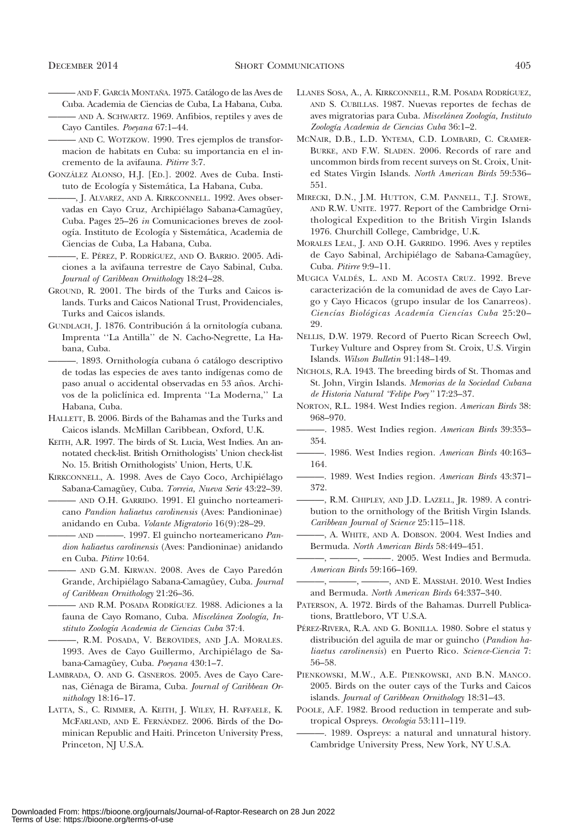- ——— AND F. GARCI´A MONTAN˜A. 1975. Cata´logo de las Aves de
- Cuba. Academia de Ciencias de Cuba, La Habana, Cuba. ——— AND A. SCHWARTZ. 1969. Anfibios, reptiles y aves de

Cayo Cantiles. Poeyana 67:1–44.

- ——— AND C. WOTZKOW. 1990. Tres ejemplos de transformacion de habitats en Cuba: su importancia en el incremento de la avifauna. Pitirre 3:7.
- GONZÁLEZ ALONSO, H.J. [ED.]. 2002. Aves de Cuba. Instituto de Ecología y Sistemática, La Habana, Cuba.
- ———, J. ALVAREZ, AND A. KIRKCONNELL. 1992. Aves observadas en Cayo Cruz, Archipiélago Sabana-Camagüey, Cuba. Pages 25–26 in Comunicaciones breves de zoología. Instituto de Ecología y Sistemática, Academia de Ciencias de Cuba, La Habana, Cuba.
	- ———, E. PE´REZ, P. RODRI´GUEZ, AND O. BARRIO. 2005. Adiciones a la avifauna terrestre de Cayo Sabinal, Cuba. Journal of Caribbean Ornithology 18:24–28.
- GROUND, R. 2001. The birds of the Turks and Caicos islands. Turks and Caicos National Trust, Providenciales, Turks and Caicos islands.
- GUNDLACH, J. 1876. Contribución á la ornitología cubana. Imprenta ''La Antilla'' de N. Cacho-Negrette, La Habana, Cuba.
	- -. 1893. Ornithología cubana ó catálogo descriptivo de todas las especies de aves tanto indígenas como de paso anual o accidental observadas en 53 años. Archivos de la policlínica ed. Imprenta "La Moderna," La Habana, Cuba.
- HALLETT, B. 2006. Birds of the Bahamas and the Turks and Caicos islands. McMillan Caribbean, Oxford, U.K.
- KEITH, A.R. 1997. The birds of St. Lucia, West Indies. An annotated check-list. British Ornithologists' Union check-list No. 15. British Ornithologists' Union, Herts, U.K.
- KIRKCONNELL, A. 1998. Aves de Cayo Coco, Archipiélago Sabana-Camagüey, Cuba. Torreia, Nueva Serie 43:22-39. ——— AND O.H. GARRIDO. 1991. El guincho norteameri
	- cano Pandion haliaetus carolinensis (Aves: Pandioninae) anidando en Cuba. Volante Migratorio 16(9):28–29.

- AND ———. 1997. El guincho norteamericano Pandion haliaetus carolinensis (Aves: Pandioninae) anidando en Cuba. Pitirre 10:64.

- AND G.M. KIRWAN. 2008. Aves de Cayo Paredón Grande, Archipiélago Sabana-Camagüey, Cuba. Journal of Caribbean Ornithology 21:26–36.
- ——— AND R.M. POSADA RODRI´GUEZ. 1988. Adiciones a la fauna de Cayo Romano, Cuba. Miscelánea Zoología, Instituto Zoología Academia de Ciencias Cuba 37:4.
- ———, R.M. POSADA, V. BEROVIDES, AND J.A. MORALES. 1993. Aves de Cayo Guillermo, Archipiélago de Sabana-Camagüey, Cuba. Poeyana 430:1-7.
- LAMBRADA, O. AND G. CISNEROS. 2005. Aves de Cayo Carenas, Ciénaga de Birama, Cuba. Journal of Caribbean Ornithology 18:16–17.
- LATTA, S., C. RIMMER, A. KEITH, J. WILEY, H. RAFFAELE, K. MCFARLAND, AND E. FERNA´NDEZ. 2006. Birds of the Dominican Republic and Haiti. Princeton University Press, Princeton, NJ U.S.A.
- LLANES SOSA, A., A. KIRKCONNELL, R.M. POSADA RODRI´GUEZ, AND S. CUBILLAS. 1987. Nuevas reportes de fechas de aves migratorias para Cuba. Miscelánea Zoología, Instituto Zoología Academia de Ciencias Cuba 36:1-2.
- MCNAIR, D.B., L.D. YNTEMA, C.D. LOMBARD, C. CRAMER-BURKE, AND F.W. SLADEN. 2006. Records of rare and uncommon birds from recent surveys on St. Croix, United States Virgin Islands. North American Birds 59:536– 551.
- MIRECKI, D.N., J.M. HUTTON, C.M. PANNELL, T.J. STOWE, AND R.W. UNITE. 1977. Report of the Cambridge Ornithological Expedition to the British Virgin Islands 1976. Churchill College, Cambridge, U.K.
- MORALES LEAL, J. AND O.H. GARRIDO. 1996. Aves y reptiles de Cayo Sabinal, Archipiélago de Sabana-Camagüey, Cuba. Pitirre 9:9–11.
- MUGICA VALDÉS, L. AND M. ACOSTA CRUZ. 1992. Breve caracterización de la comunidad de aves de Cayo Largo y Cayo Hicacos (grupo insular de los Canarreos). Ciencías Biológicas Academía Ciencías Cuba 25:20-29.
- NELLIS, D.W. 1979. Record of Puerto Rican Screech Owl, Turkey Vulture and Osprey from St. Croix, U.S. Virgin Islands. Wilson Bulletin 91:148–149.
- NICHOLS, R.A. 1943. The breeding birds of St. Thomas and St. John, Virgin Islands. Memorias de la Sociedad Cubana de Historia Natural ''Felipe Poey'' 17:23–37.
- NORTON, R.L. 1984. West Indies region. American Birds 38: 968–970.
- -. 1985. West Indies region. American Birds 39:353-354.
- -. 1986. West Indies region. American Birds 40:163-164.
- -. 1989. West Indies region. American Birds 43:371-372.
- ———, R.M. CHIPLEY, AND J.D. LAZELL, JR. 1989. A contribution to the ornithology of the British Virgin Islands. Caribbean Journal of Science 25:115–118.
- ———, A. WHITE, AND A. DOBSON. 2004. West Indies and Bermuda. North American Birds 58:449–451.
- -, ———, ———. 2005. West Indies and Bermuda. American Birds 59:166–169.
- -, ———, ———, AND E. MASSIAH. 2010. West Indies and Bermuda. North American Birds 64:337–340.
- PATERSON, A. 1972. Birds of the Bahamas. Durrell Publications, Brattleboro, VT U.S.A.
- PÉREZ-RIVERA, R.A. AND G. BONILLA. 1980. Sobre el status y distribución del aguila de mar or guincho (Pandion haliaetus carolinensis) en Puerto Rico. Science-Ciencia 7: 56–58.
- PIENKOWSKI, M.W., A.E. PIENKOWSKI, AND B.N. MANCO. 2005. Birds on the outer cays of the Turks and Caicos islands. Journal of Caribbean Ornithology 18:31–43.
- POOLE, A.F. 1982. Brood reduction in temperate and subtropical Ospreys. Oecologia 53:111–119.
- ———. 1989. Ospreys: a natural and unnatural history. Cambridge University Press, New York, NY U.S.A.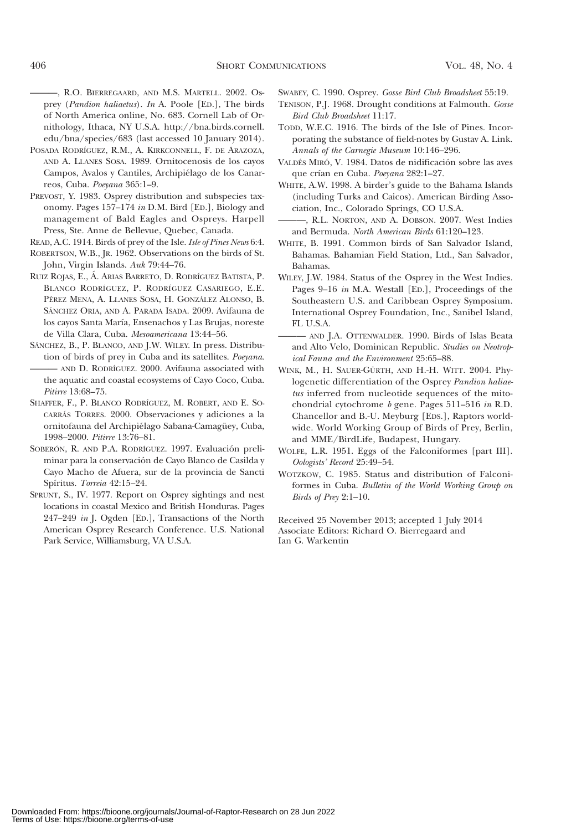———, R.O. BIERREGAARD, AND M.S. MARTELL. 2002. Osprey (Pandion haliaetus). In A. Poole [ED.], The birds of North America online, No. 683. Cornell Lab of Ornithology, Ithaca, NY U.S.A. http://bna.birds.cornell. edu/bna/species/683 (last accessed 10 January 2014).

- POSADA RODRÍGUEZ, R.M., A. KIRKCONNELL, F. DE ARAZOZA, AND A. LLANES SOSA. 1989. Ornitocenosis de los cayos Campos, Avalos y Cantiles, Archipiélago de los Canarreos, Cuba. Poeyana 365:1–9.
- PREVOST, Y. 1983. Osprey distribution and subspecies taxonomy. Pages 157–174 in D.M. Bird [ED.], Biology and management of Bald Eagles and Ospreys. Harpell Press, Ste. Anne de Bellevue, Quebec, Canada.

READ, A.C. 1914. Birds of prey of the Isle. Isle of Pines News 6:4.

ROBERTSON, W.B., JR. 1962. Observations on the birds of St. John, Virgin Islands. Auk 79:44–76.

- RUIZ ROJAS, E., A´. ARIAS BARRETO, D. RODRI´GUEZ BATISTA, P. BLANCO RODRÍGUEZ, P. RODRÍGUEZ CASARIEGO, E.E. PÉREZ MENA, A. LLANES SOSA, H. GONZÁLEZ ALONSO, B. SÁNCHEZ ORIA, AND A. PARADA ISADA. 2009. Avifauna de los cayos Santa María, Ensenachos y Las Brujas, noreste de Villa Clara, Cuba. Mesoamericana 13:44–56.
- SÁNCHEZ, B., P. BLANCO, AND J.W. WILEY. In press. Distribution of birds of prey in Cuba and its satellites. Poeyana. ——— AND D. RODRI´GUEZ. 2000. Avifauna associated with the aquatic and coastal ecosystems of Cayo Coco, Cuba. Pitirre 13:68–75.
- SHAFFER, F., P. BLANCO RODRÍGUEZ, M. ROBERT, AND E. SO-CARRÁS TORRES. 2000. Observaciones y adiciones a la ornitofauna del Archipiélago Sabana-Camagüey, Cuba, 1998–2000. Pitirre 13:76–81.
- SOBERÓN, R. AND P.A. RODRÍGUEZ. 1997. Evaluación preliminar para la conservación de Cayo Blanco de Casilda y Cayo Macho de Afuera, sur de la provincia de Sancti Spíritus. Torreia 42:15-24.
- SPRUNT, S., IV. 1977. Report on Osprey sightings and nest locations in coastal Mexico and British Honduras. Pages 247–249 in J. Ogden [ED.], Transactions of the North American Osprey Research Conference. U.S. National Park Service, Williamsburg, VA U.S.A.

SWABEY, C. 1990. Osprey. Gosse Bird Club Broadsheet 55:19.

- TENISON, P.J. 1968. Drought conditions at Falmouth. Gosse Bird Club Broadsheet 11:17.
- TODD, W.E.C. 1916. The birds of the Isle of Pines. Incorporating the substance of field-notes by Gustav A. Link. Annals of the Carnegie Museum 10:146–296.
- VALDÉS MIRÓ, V. 1984. Datos de nidificación sobre las aves que crían en Cuba. Poeyana 282:1-27.
- WHITE, A.W. 1998. A birder's guide to the Bahama Islands (including Turks and Caicos). American Birding Association, Inc., Colorado Springs, CO U.S.A.
- ———, R.L. NORTON, AND A. DOBSON. 2007. West Indies and Bermuda. North American Birds 61:120–123.
- WHITE, B. 1991. Common birds of San Salvador Island, Bahamas. Bahamian Field Station, Ltd., San Salvador, Bahamas.
- WILEY, J.W. 1984. Status of the Osprey in the West Indies. Pages 9–16 in M.A. Westall [ED.], Proceedings of the Southeastern U.S. and Caribbean Osprey Symposium. International Osprey Foundation, Inc., Sanibel Island, FL U.S.A.
- AND J.A. OTTENWALDER. 1990. Birds of Islas Beata and Alto Velo, Dominican Republic. Studies on Neotropical Fauna and the Environment 25:65–88.
- WINK, M., H. SAUER-GÜRTH, AND H.-H. WITT. 2004. Phylogenetic differentiation of the Osprey Pandion haliaetus inferred from nucleotide sequences of the mitochondrial cytochrome b gene. Pages 511–516 in R.D. Chancellor and B.-U. Meyburg [EDS.], Raptors worldwide. World Working Group of Birds of Prey, Berlin, and MME/BirdLife, Budapest, Hungary.
- WOLFE, L.R. 1951. Eggs of the Falconiformes [part III]. Oologists' Record 25:49–54.
- WOTZKOW, C. 1985. Status and distribution of Falconiformes in Cuba. Bulletin of the World Working Group on Birds of Prey 2:1–10.

Received 25 November 2013; accepted 1 July 2014 Associate Editors: Richard O. Bierregaard and Ian G. Warkentin